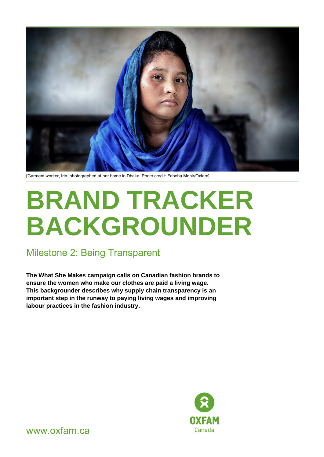

[Garment worker, Irin, photographed at her home in Dhaka. Photo credit: Fabeha Monir/Oxfam]

# **BRAND TRACKER BACKGROUNDER**

### Milestone 2: Being Transparent

**The What She Makes campaign calls on Canadian fashion brands to ensure the women who make our clothes are paid a living wage. This backgrounder describes why supply chain transparency is an important step in the runway to paying living wages and improving labour practices in the fashion industry.** 



www.oxfam.ca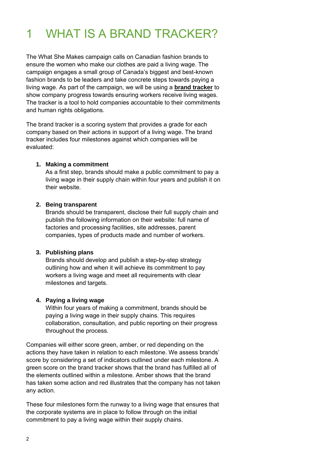# 1 WHAT IS A BRAND TRACKER?

The What She Makes campaign calls on Canadian fashion brands to ensure the women who make our clothes are paid a living wage. The campaign engages a small group of Canada's biggest and best-known fashion brands to be leaders and take concrete steps towards paying a living wage. As part of the campaign, we will be using a **[brand tracker](https://www.oxfam.ca/what-she-makes/brand-tracker/)** to show company progress towards ensuring workers receive living wages. The tracker is a tool to hold companies accountable to their commitments and human rights obligations.

The brand tracker is a scoring system that provides a grade for each company based on their actions in support of a living wage. The brand tracker includes four milestones against which companies will be evaluated:

#### **1. Making a commitment**

As a first step, brands should make a public commitment to pay a living wage in their supply chain within four years and publish it on their website.

#### **2. Being transparent**

Brands should be transparent, disclose their full supply chain and publish the following information on their website: full name of factories and processing facilities, site addresses, parent companies, types of products made and number of workers.

#### **3. Publishing plans**

Brands should develop and publish a step-by-step strategy outlining how and when it will achieve its commitment to pay workers a living wage and meet all requirements with clear milestones and targets.

#### **4. Paying a living wage**

Within four years of making a commitment, brands should be paying a living wage in their supply chains. This requires collaboration, consultation, and public reporting on their progress throughout the process.

Companies will either score green, amber, or red depending on the actions they have taken in relation to each milestone. We assess brands' score by considering a set of indicators outlined under each milestone. A green score on the brand tracker shows that the brand has fulfilled all of the elements outlined within a milestone. Amber shows that the brand has taken some action and red illustrates that the company has not taken any action.

These four milestones form the runway to a living wage that ensures that the corporate systems are in place to follow through on the initial commitment to pay a living wage within their supply chains.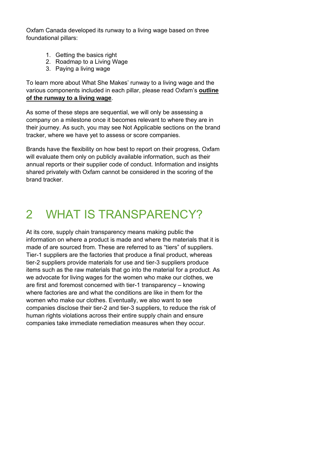Oxfam Canada developed its runway to a living wage based on three foundational pillars:

- 1. Getting the basics right
- 2. Roadmap to a Living Wage
- 3. Paying a living wage

To learn more about What She Makes' runway to a living wage and the various components included in each pillar, please read Oxfam's **[outline](https://42kgab3z3i7s3rm1xf48rq44-wpengine.netdna-ssl.com/wp-content/uploads/2021/11/Runway-to-a-living-wage.pdf)  [of the runway to a living wage](https://42kgab3z3i7s3rm1xf48rq44-wpengine.netdna-ssl.com/wp-content/uploads/2021/11/Runway-to-a-living-wage.pdf)**.

As some of these steps are sequential, we will only be assessing a company on a milestone once it becomes relevant to where they are in their journey. As such, you may see Not Applicable sections on the brand tracker, where we have yet to assess or score companies.

Brands have the flexibility on how best to report on their progress, Oxfam will evaluate them only on publicly available information, such as their annual reports or their supplier code of conduct. Information and insights shared privately with Oxfam cannot be considered in the scoring of the brand tracker.

## 2 WHAT IS TRANSPARENCY?

At its core, supply chain transparency means making public the information on where a product is made and where the materials that it is made of are sourced from. These are referred to as "tiers" of suppliers. Tier-1 suppliers are the factories that produce a final product, whereas tier-2 suppliers provide materials for use and tier-3 suppliers produce items such as the raw materials that go into the material for a product. As we advocate for living wages for the women who make our clothes, we are first and foremost concerned with tier-1 transparency – knowing where factories are and what the conditions are like in them for the women who make our clothes. Eventually, we also want to see companies disclose their tier-2 and tier-3 suppliers, to reduce the risk of human rights violations across their entire supply chain and ensure companies take immediate remediation measures when they occur.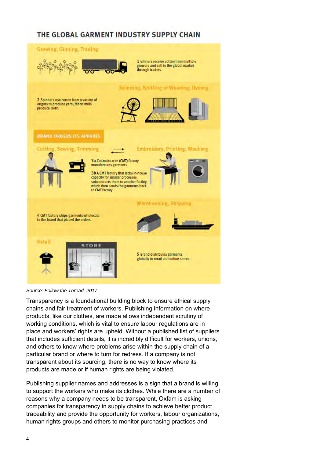### THE GLOBAL GARMENT INDUSTRY SUPPLY CHAIN





Transparency is a foundational building block to ensure ethical supply chains and fair treatment of workers. Publishing information on where products, like our clothes, are made allows independent scrutiny of working conditions, which is vital to ensure labour regulations are in place and workers' rights are upheld. Without a published list of suppliers that includes sufficient details, it is incredibly difficult for workers, unions, and others to know where problems arise within the supply chain of a particular brand or where to turn for redress. If a company is not transparent about its sourcing, there is no way to know where its products are made or if human rights are being violated.

Publishing supplier names and addresses is a sign that a brand is willing to support the workers who make its clothes. While there are a number of reasons why a company needs to be transparent, Oxfam is asking companies for transparency in supply chains to achieve better product traceability and provide the opportunity for workers, labour organizations, human rights groups and others to monitor purchasing practices and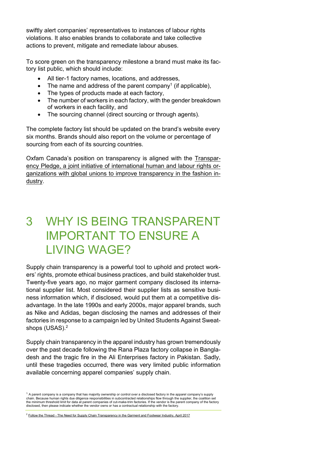swiftly alert companies' representatives to instances of labour rights violations. It also enables brands to collaborate and take collective actions to prevent, mitigate and remediate labour abuses.

To score green on the transparency milestone a brand must make its factory list public, which should include:

- All tier-1 factory names, locations, and addresses,
- The name and address of the parent company<sup>1</sup> (if applicable),
- The types of products made at each factory,
- The number of workers in each factory, with the gender breakdown of workers in each facility, and
- The sourcing channel (direct sourcing or through agents).

The complete factory list should be updated on the brand's website every six months. Brands should also report on the volume or percentage of sourcing from each of its sourcing countries.

Oxfam Canada's position on transparency is aligned with the [Transpar](https://transparencypledge.org/the-pledge)[ency Pledge, a joint initiative of international human and labour rights or](https://transparencypledge.org/the-pledge)[ganizations with global unions to improve transparency in the fashion in](https://transparencypledge.org/the-pledge)[dustry.](https://transparencypledge.org/the-pledge)

### 3 WHY IS BEING TRANSPARENT IMPORTANT TO ENSURE A LIVING WAGE?

Supply chain transparency is a powerful tool to uphold and protect workers' rights, promote ethical business practices, and build stakeholder trust. Twenty-five years ago, no major garment company disclosed its international supplier list. Most considered their supplier lists as sensitive business information which, if disclosed, would put them at a competitive disadvantage. In the late 1990s and early 2000s, major apparel brands, such as Nike and Adidas, began disclosing the names and addresses of their factories in response to a campaign led by United Students Against Sweatshops (USAS).<sup>2</sup>

Supply chain transparency in the apparel industry has grown tremendously over the past decade following the Rana Plaza factory collapse in Bangladesh and the tragic fire in the Ali Enterprises factory in Pakistan. Sadly, until these tragedies occurred, there was very limited public information available concerning apparel companies' supply chain.

 $1$  A parent company is a company that has majority ownership or control over a disclosed factory in the apparel company's supply chain. Because human rights due diligence responsibilities in subcontracted relationships flow through the supplier, the coalition set<br>the minimum threshold limit for data at parent companies of cut-make-trim factories. If disclosed, then please indicate whether the vendor owns or has a contractual relationship with the factory.

<sup>&</sup>lt;sup>2</sup> Follow the Thread - [The Need for Supply Chain Transparency in the Garment and Footwear Industry, April 2017](https://www.hrw.org/sites/default/files/report_pdf/wrdtransparency0417_brochure_web_spreads_3.pdf)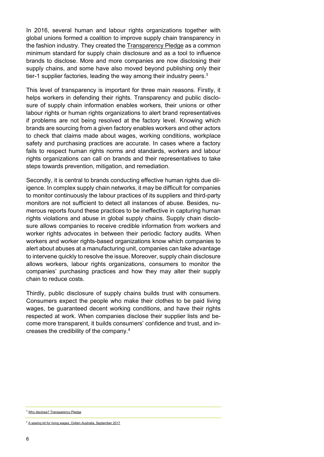In 2016, several human and labour rights organizations together with global unions formed a coalition to improve supply chain transparency in the fashion industry. They created the [Transparency Pledge](https://transparencypledge.org/the-pledge) as a common minimum standard for supply chain disclosure and as a tool to influence brands to disclose. More and more companies are now disclosing their supply chains, and some have also moved beyond publishing only their tier-1 supplier factories, leading the way among their industry peers.<sup>3</sup>

This level of transparency is important for three main reasons. Firstly, it helps workers in defending their rights. Transparency and public disclosure of supply chain information enables workers, their unions or other labour rights or human rights organizations to alert brand representatives if problems are not being resolved at the factory level. Knowing which brands are sourcing from a given factory enables workers and other actors to check that claims made about wages, working conditions, workplace safety and purchasing practices are accurate. In cases where a factory fails to respect human rights norms and standards, workers and labour rights organizations can call on brands and their representatives to take steps towards prevention, mitigation, and remediation.

Secondly, it is central to brands conducting effective human rights due diligence. In complex supply chain networks, it may be difficult for companies to monitor continuously the labour practices of its suppliers and third-party monitors are not sufficient to detect all instances of abuse. Besides, numerous reports found these practices to be ineffective in capturing human rights violations and abuse in global supply chains. Supply chain disclosure allows companies to receive credible information from workers and worker rights advocates in between their periodic factory audits. When workers and worker rights-based organizations know which companies to alert about abuses at a manufacturing unit, companies can take advantage to intervene quickly to resolve the issue. Moreover, supply chain disclosure allows workers, labour rights organizations, consumers to monitor the companies' purchasing practices and how they may alter their supply chain to reduce costs.

Thirdly, public disclosure of supply chains builds trust with consumers. Consumers expect the people who make their clothes to be paid living wages, be guaranteed decent working conditions, and have their rights respected at work. When companies disclose their supplier lists and become more transparent, it builds consumers' confidence and trust, and increases the credibility of the company.<sup>4</sup>

<sup>&</sup>lt;sup>3</sup> [Why disclose? Transparency Pledge](https://transparencypledge.org/why-disclose)

<sup>4</sup> [A sewing kit for living wages, Oxfam Australia, September 2017](https://www.oxfam.org.au/wp-content/uploads/2021/11/A-Sewing-Kit-for-Living-Wage.pdf)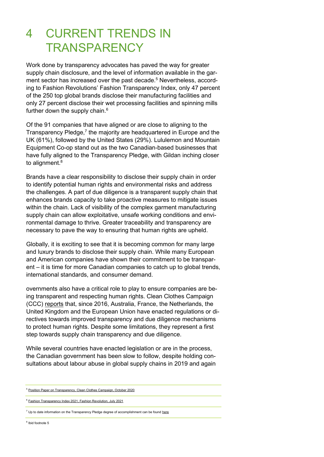## 4 CURRENT TRENDS IN **TRANSPARENCY**

Work done by transparency advocates has payed the way for greater supply chain disclosure, and the level of information available in the garment sector has increased over the past decade.<sup>5</sup> Nevertheless, according to Fashion Revolutions' Fashion Transparency Index, only 47 percent of the 250 top global brands disclose their manufacturing facilities and only 27 percent disclose their wet processing facilities and spinning mills further down the supply chain.<sup>6</sup>

Of the 91 companies that have aligned or are close to aligning to the Transparency Pledge,<sup>7</sup> the majority are headquartered in Europe and the UK (61%), followed by the United States (29%). Lululemon and Mountain Equipment Co-op stand out as the two Canadian-based businesses that have fully aligned to the Transparency Pledge, with Gildan inching closer to alignment.<sup>8</sup>

Brands have a clear responsibility to disclose their supply chain in order to identify potential human rights and environmental risks and address the challenges. A part of due diligence is a transparent supply chain that enhances brands capacity to take proactive measures to mitigate issues within the chain. Lack of visibility of the complex garment manufacturing supply chain can allow exploitative, unsafe working conditions and environmental damage to thrive. Greater traceability and transparency are necessary to pave the way to ensuring that human rights are upheld.

Globally, it is exciting to see that it is becoming common for many large and luxury brands to disclose their supply chain. While many European and American companies have shown their commitment to be transparent – it is time for more Canadian companies to catch up to global trends, international standards, and consumer demand.

overnments also have a critical role to play to ensure companies are being transparent and respecting human rights. Clean Clothes Campaign (CCC) [reports](https://cleanclothes.org/file-repository/transparency_position_paper_ccc_2020-10-15.pdf/view) that, since 2016, Australia, France, the Netherlands, the United Kingdom and the European Union have enacted regulations or directives towards improved transparency and due diligence mechanisms to protect human rights. Despite some limitations, they represent a first step towards supply chain transparency and due diligence.

While several countries have enacted legislation or are in the process, the Canadian government has been slow to follow, despite holding consultations about labour abuse in global supply chains in 2019 and again

<sup>5</sup> [Position Paper on Transparency, Clean Clothes Campaign, October 2020](https://cleanclothes.org/file-repository/transparency_position_paper_ccc_2020-10-15.pdf/view)

<sup>6</sup> [Fashion Transparency Index 2021, Fashion Revolution, July 2021](https://issuu.com/fashionrevolution/docs/fashiontransparencyindex_2021)

 $7$  Up to date information on the Transparency Pledge degree of accomplishment can be foun[d here](https://transparencypledge.org/aligned)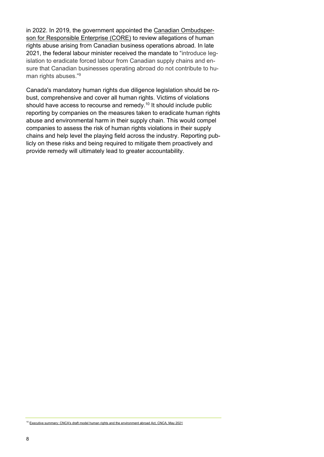in 2022. In 2019, the government appointed the [Canadian Ombudsper](https://core-ombuds.canada.ca/core_ombuds-ocre_ombuds/index.aspx?lang=eng)[son for Responsible Enterprise \(CORE\)](https://core-ombuds.canada.ca/core_ombuds-ocre_ombuds/index.aspx?lang=eng) to review allegations of human rights abuse arising from Canadian business operations abroad. In late 2021, the federal labour minister received the mandate to "introduce legislation to eradicate forced labour from Canadian supply chains and ensure that Canadian businesses operating abroad do not contribute to human rights abuses."<sup>9</sup>

Canada's mandatory human rights due diligence legislation should be robust, comprehensive and cover all human rights. Victims of violations should have access to recourse and remedy.<sup>10</sup> It should include public reporting by companies on the measures taken to eradicate human rights abuse and environmental harm in their supply chain. This would compel companies to assess the risk of human rights violations in their supply chains and help level the playing field across the industry. Reporting publicly on these risks and being required to mitigate them proactively and provide remedy will ultimately lead to greater accountability.

<sup>10</sup> [Executive summary: CNCA's draft model human rights and the environment abroad Act, CNCA, May 2021](https://cnca-rcrce.ca/site/wp-content/uploads/2021/05/Executive-Summary-Corporate-Respect-for-Human-Rights-and-the-Environment-Act.pdf)